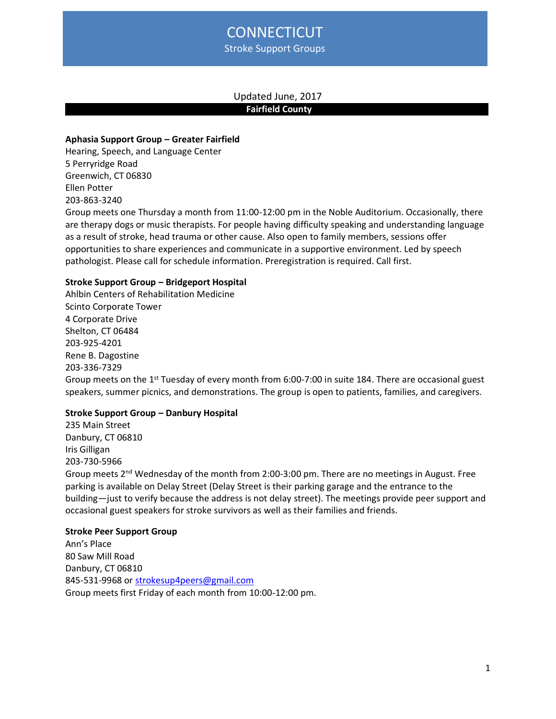# **CONNECTICUT** Stroke Support Groups

# Updated June, 2017 **Fairfield County**

## **Aphasia Support Group – Greater Fairfield**

Hearing, Speech, and Language Center 5 Perryridge Road Greenwich, CT 06830 Ellen Potter 203-863-3240

Group meets one Thursday a month from 11:00-12:00 pm in the Noble Auditorium. Occasionally, there are therapy dogs or music therapists. For people having difficulty speaking and understanding language as a result of stroke, head trauma or other cause. Also open to family members, sessions offer opportunities to share experiences and communicate in a supportive environment. Led by speech pathologist. Please call for schedule information. Preregistration is required. Call first.

# **Stroke Support Group – Bridgeport Hospital**

Ahlbin Centers of Rehabilitation Medicine Scinto Corporate Tower 4 Corporate Drive Shelton, CT 06484 203-925-4201 Rene B. Dagostine 203-336-7329 Group meets on the 1<sup>st</sup> Tuesday of every month from 6:00-7:00 in suite 184. There are occasional guest speakers, summer picnics, and demonstrations. The group is open to patients, families, and caregivers.

# **Stroke Support Group – Danbury Hospital**

235 Main Street Danbury, CT 06810 Iris Gilligan 203-730-5966 Group meets  $2^{nd}$  Wednesday of the month from 2:00-3:00 pm. There are no meetings in August. Free parking is available on Delay Street (Delay Street is their parking garage and the entrance to the building—just to verify because the address is not delay street). The meetings provide peer support and occasional guest speakers for stroke survivors as well as their families and friends.

### **Stroke Peer Support Group**

Ann's Place 80 Saw Mill Road Danbury, CT 06810 845-531-9968 or [strokesup4peers@gmail.com](mailto:strokesup4peers@gmail.com) Group meets first Friday of each month from 10:00-12:00 pm.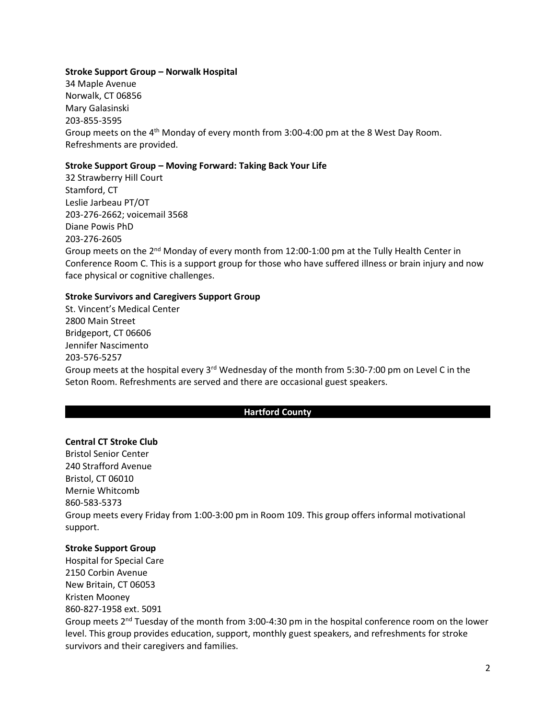## **Stroke Support Group – Norwalk Hospital**

34 Maple Avenue Norwalk, CT 06856 Mary Galasinski 203-855-3595 Group meets on the 4<sup>th</sup> Monday of every month from 3:00-4:00 pm at the 8 West Day Room. Refreshments are provided.

## **Stroke Support Group – Moving Forward: Taking Back Your Life**

32 Strawberry Hill Court Stamford, CT Leslie Jarbeau PT/OT 203-276-2662; voicemail 3568 Diane Powis PhD 203-276-2605 Group meets on the 2<sup>nd</sup> Monday of every month from 12:00-1:00 pm at the Tully Health Center in Conference Room C. This is a support group for those who have suffered illness or brain injury and now face physical or cognitive challenges.

## **Stroke Survivors and Caregivers Support Group**

St. Vincent's Medical Center 2800 Main Street Bridgeport, CT 06606 Jennifer Nascimento 203-576-5257 Group meets at the hospital every 3<sup>rd</sup> Wednesday of the month from 5:30-7:00 pm on Level C in the Seton Room. Refreshments are served and there are occasional guest speakers.

## **Hartford County .**

# **Central CT Stroke Club**

Bristol Senior Center 240 Strafford Avenue Bristol, CT 06010 Mernie Whitcomb 860-583-5373 Group meets every Friday from 1:00-3:00 pm in Room 109. This group offers informal motivational support.

## **Stroke Support Group**

Hospital for Special Care 2150 Corbin Avenue New Britain, CT 06053 Kristen Mooney 860-827-1958 ext. 5091 Group meets 2nd Tuesday of the month from 3:00-4:30 pm in the hospital conference room on the lower level. This group provides education, support, monthly guest speakers, and refreshments for stroke survivors and their caregivers and families.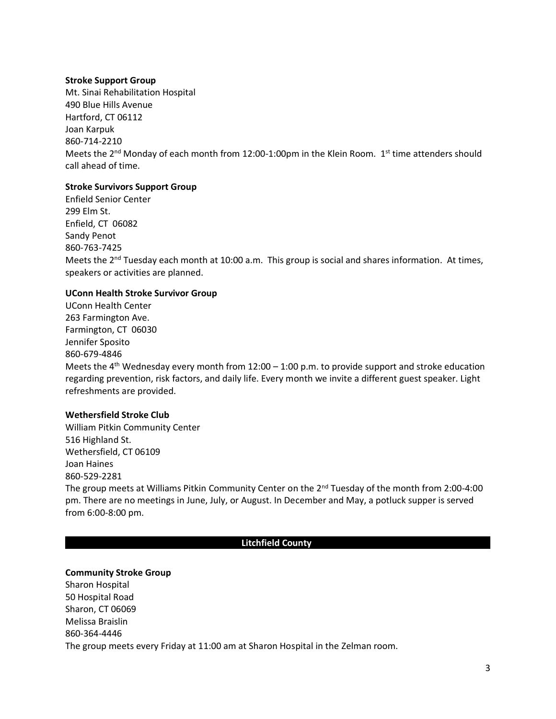## **Stroke Support Group**

Mt. Sinai Rehabilitation Hospital 490 Blue Hills Avenue Hartford, CT 06112 Joan Karpuk 860-714-2210 Meets the  $2^{nd}$  Monday of each month from 12:00-1:00pm in the Klein Room.  $1^{st}$  time attenders should call ahead of time.

# **Stroke Survivors Support Group**

Enfield Senior Center 299 Elm St. Enfield, CT 06082 Sandy Penot 860-763-7425 Meets the  $2^{nd}$  Tuesday each month at 10:00 a.m. This group is social and shares information. At times, speakers or activities are planned.

## **UConn Health Stroke Survivor Group**

UConn Health Center 263 Farmington Ave. Farmington, CT 06030 Jennifer Sposito 860-679-4846 Meets the 4<sup>th</sup> Wednesday every month from 12:00 – 1:00 p.m. to provide support and stroke education regarding prevention, risk factors, and daily life. Every month we invite a different guest speaker. Light refreshments are provided.

## **Wethersfield Stroke Club**

William Pitkin Community Center 516 Highland St. Wethersfield, CT 06109 Joan Haines 860-529-2281 The group meets at Williams Pitkin Community Center on the  $2^{nd}$  Tuesday of the month from 2:00-4:00 pm. There are no meetings in June, July, or August. In December and May, a potluck supper is served from 6:00-8:00 pm.

### **Litchfield County .**

### **Community Stroke Group**

Sharon Hospital 50 Hospital Road Sharon, CT 06069 Melissa Braislin 860-364-4446 The group meets every Friday at 11:00 am at Sharon Hospital in the Zelman room.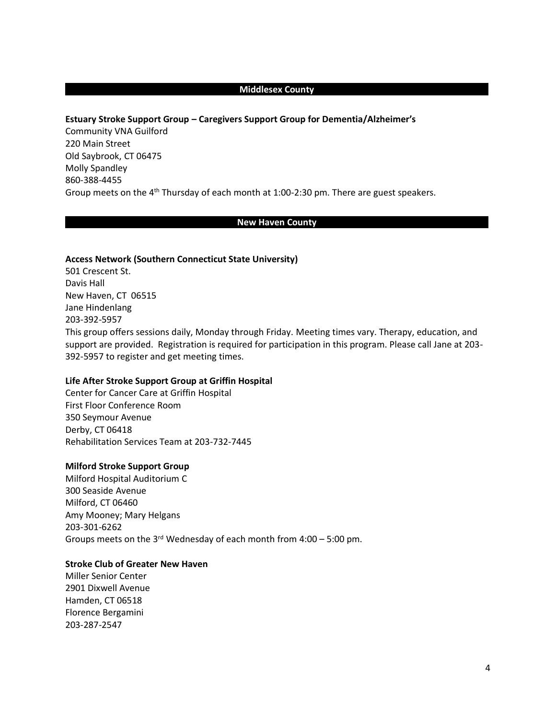## **Middlesex County .**

## **Estuary Stroke Support Group – Caregivers Support Group for Dementia/Alzheimer's**

Community VNA Guilford 220 Main Street Old Saybrook, CT 06475 Molly Spandley 860-388-4455 Group meets on the  $4<sup>th</sup>$  Thursday of each month at 1:00-2:30 pm. There are guest speakers.

#### **New Haven County .**

#### **Access Network (Southern Connecticut State University)**

501 Crescent St. Davis Hall New Haven, CT 06515 Jane Hindenlang 203-392-5957 This group offers sessions daily, Monday through Friday. Meeting times vary. Therapy, education, and support are provided. Registration is required for participation in this program. Please call Jane at 203- 392-5957 to register and get meeting times.

### **Life After Stroke Support Group at Griffin Hospital**

Center for Cancer Care at Griffin Hospital First Floor Conference Room 350 Seymour Avenue Derby, CT 06418 Rehabilitation Services Team at 203-732-7445

#### **Milford Stroke Support Group**

Milford Hospital Auditorium C 300 Seaside Avenue Milford, CT 06460 Amy Mooney; Mary Helgans 203-301-6262 Groups meets on the 3<sup>rd</sup> Wednesday of each month from  $4:00 - 5:00$  pm.

# **Stroke Club of Greater New Haven**

Miller Senior Center 2901 Dixwell Avenue Hamden, CT 06518 Florence Bergamini 203-287-2547